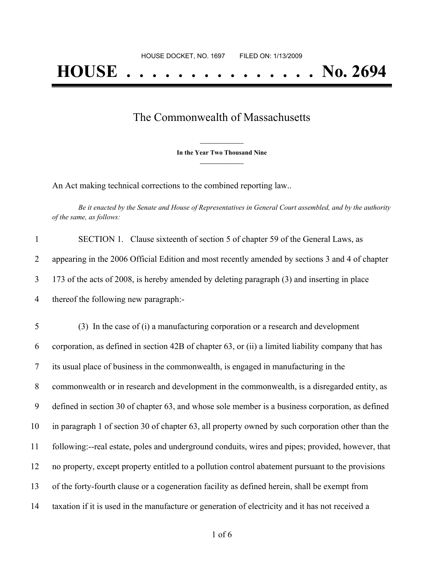## The Commonwealth of Massachusetts

**\_\_\_\_\_\_\_\_\_\_\_\_\_\_\_ In the Year Two Thousand Nine \_\_\_\_\_\_\_\_\_\_\_\_\_\_\_**

An Act making technical corrections to the combined reporting law..

Be it enacted by the Senate and House of Representatives in General Court assembled, and by the authority *of the same, as follows:*

|                | SECTION 1. Clause sixteenth of section 5 of chapter 59 of the General Laws, as                  |
|----------------|-------------------------------------------------------------------------------------------------|
|                | appearing in the 2006 Official Edition and most recently amended by sections 3 and 4 of chapter |
|                | 173 of the acts of 2008, is hereby amended by deleting paragraph (3) and inserting in place     |
| $\overline{4}$ | thereof the following new paragraph:-                                                           |

 (3) In the case of (i) a manufacturing corporation or a research and development corporation, as defined in section 42B of chapter 63, or (ii) a limited liability company that has its usual place of business in the commonwealth, is engaged in manufacturing in the commonwealth or in research and development in the commonwealth, is a disregarded entity, as defined in section 30 of chapter 63, and whose sole member is a business corporation, as defined in paragraph 1 of section 30 of chapter 63, all property owned by such corporation other than the following:--real estate, poles and underground conduits, wires and pipes; provided, however, that no property, except property entitled to a pollution control abatement pursuant to the provisions of the forty-fourth clause or a cogeneration facility as defined herein, shall be exempt from taxation if it is used in the manufacture or generation of electricity and it has not received a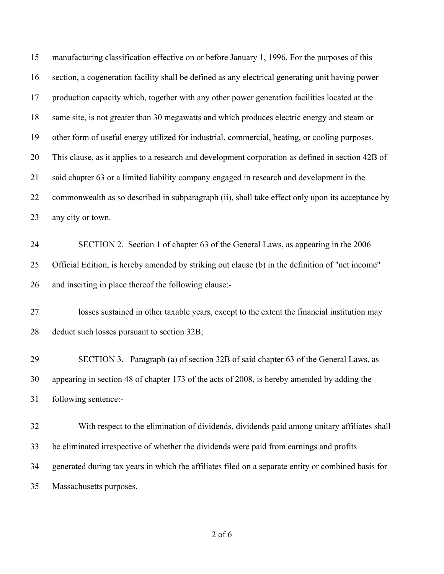| 15 | manufacturing classification effective on or before January 1, 1996. For the purposes of this       |
|----|-----------------------------------------------------------------------------------------------------|
| 16 | section, a cogeneration facility shall be defined as any electrical generating unit having power    |
| 17 | production capacity which, together with any other power generation facilities located at the       |
| 18 | same site, is not greater than 30 megawatts and which produces electric energy and steam or         |
| 19 | other form of useful energy utilized for industrial, commercial, heating, or cooling purposes.      |
| 20 | This clause, as it applies to a research and development corporation as defined in section 42B of   |
| 21 | said chapter 63 or a limited liability company engaged in research and development in the           |
| 22 | commonwealth as so described in subparagraph (ii), shall take effect only upon its acceptance by    |
| 23 | any city or town.                                                                                   |
| 24 | SECTION 2. Section 1 of chapter 63 of the General Laws, as appearing in the 2006                    |
| 25 | Official Edition, is hereby amended by striking out clause (b) in the definition of "net income"    |
| 26 | and inserting in place thereof the following clause:-                                               |
| 27 | losses sustained in other taxable years, except to the extent the financial institution may         |
| 28 | deduct such losses pursuant to section 32B;                                                         |
| 29 | SECTION 3. Paragraph (a) of section 32B of said chapter 63 of the General Laws, as                  |
| 30 | appearing in section 48 of chapter 173 of the acts of 2008, is hereby amended by adding the         |
| 31 | following sentence:-                                                                                |
| 32 | With respect to the elimination of dividends, dividends paid among unitary affiliates shall         |
| 33 | be eliminated irrespective of whether the dividends were paid from earnings and profits             |
| 34 | generated during tax years in which the affiliates filed on a separate entity or combined basis for |
| 35 | Massachusetts purposes.                                                                             |
|    |                                                                                                     |

of 6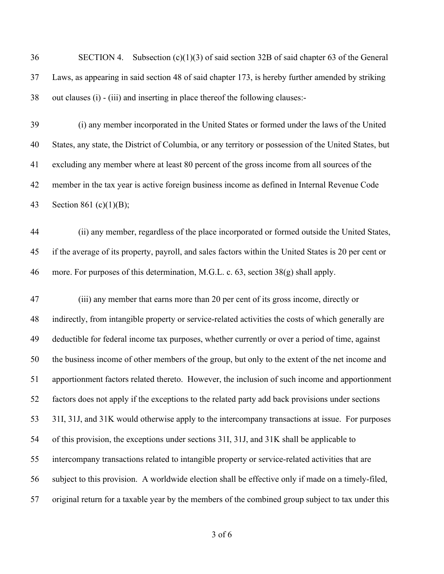- SECTION 4. Subsection (c)(1)(3) of said section 32B of said chapter 63 of the General Laws, as appearing in said section 48 of said chapter 173, is hereby further amended by striking out clauses (i) - (iii) and inserting in place thereof the following clauses:-
- (i) any member incorporated in the United States or formed under the laws of the United States, any state, the District of Columbia, or any territory or possession of the United States, but excluding any member where at least 80 percent of the gross income from all sources of the member in the tax year is active foreign business income as defined in Internal Revenue Code Section 861 (c)(1)(B);
- (ii) any member, regardless of the place incorporated or formed outside the United States, if the average of its property, payroll, and sales factors within the United States is 20 per cent or more. For purposes of this determination, M.G.L. c. 63, section 38(g) shall apply.

 (iii) any member that earns more than 20 per cent of its gross income, directly or indirectly, from intangible property or service-related activities the costs of which generally are deductible for federal income tax purposes, whether currently or over a period of time, against the business income of other members of the group, but only to the extent of the net income and apportionment factors related thereto. However, the inclusion of such income and apportionment factors does not apply if the exceptions to the related party add back provisions under sections 31I, 31J, and 31K would otherwise apply to the intercompany transactions at issue. For purposes of this provision, the exceptions under sections 31I, 31J, and 31K shall be applicable to intercompany transactions related to intangible property or service-related activities that are subject to this provision. A worldwide election shall be effective only if made on a timely-filed, original return for a taxable year by the members of the combined group subject to tax under this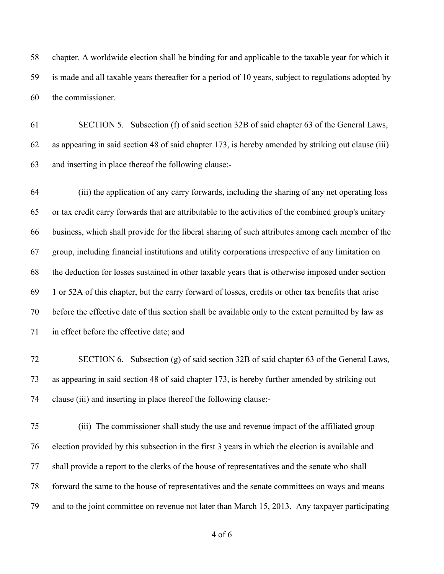chapter. A worldwide election shall be binding for and applicable to the taxable year for which it is made and all taxable years thereafter for a period of 10 years, subject to regulations adopted by the commissioner.

 SECTION 5. Subsection (f) of said section 32B of said chapter 63 of the General Laws, as appearing in said section 48 of said chapter 173, is hereby amended by striking out clause (iii) and inserting in place thereof the following clause:-

 (iii) the application of any carry forwards, including the sharing of any net operating loss or tax credit carry forwards that are attributable to the activities of the combined group's unitary business, which shall provide for the liberal sharing of such attributes among each member of the group, including financial institutions and utility corporations irrespective of any limitation on the deduction for losses sustained in other taxable years that is otherwise imposed under section 1 or 52A of this chapter, but the carry forward of losses, credits or other tax benefits that arise before the effective date of this section shall be available only to the extent permitted by law as in effect before the effective date; and

 SECTION 6. Subsection (g) of said section 32B of said chapter 63 of the General Laws, as appearing in said section 48 of said chapter 173, is hereby further amended by striking out clause (iii) and inserting in place thereof the following clause:-

 (iii) The commissioner shall study the use and revenue impact of the affiliated group election provided by this subsection in the first 3 years in which the election is available and shall provide a report to the clerks of the house of representatives and the senate who shall forward the same to the house of representatives and the senate committees on ways and means and to the joint committee on revenue not later than March 15, 2013. Any taxpayer participating

of 6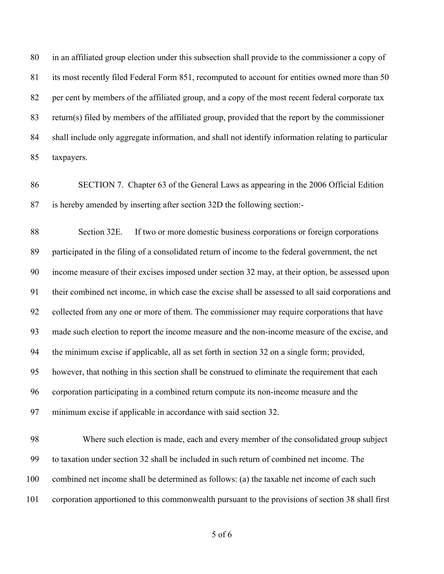in an affiliated group election under this subsection shall provide to the commissioner a copy of its most recently filed Federal Form 851, recomputed to account for entities owned more than 50 per cent by members of the affiliated group, and a copy of the most recent federal corporate tax return(s) filed by members of the affiliated group, provided that the report by the commissioner shall include only aggregate information, and shall not identify information relating to particular taxpayers.

 SECTION 7. Chapter 63 of the General Laws as appearing in the 2006 Official Edition is hereby amended by inserting after section 32D the following section:-

 Section 32E. If two or more domestic business corporations or foreign corporations participated in the filing of a consolidated return of income to the federal government, the net income measure of their excises imposed under section 32 may, at their option, be assessed upon their combined net income, in which case the excise shall be assessed to all said corporations and collected from any one or more of them. The commissioner may require corporations that have made such election to report the income measure and the non-income measure of the excise, and the minimum excise if applicable, all as set forth in section 32 on a single form; provided, however, that nothing in this section shall be construed to eliminate the requirement that each corporation participating in a combined return compute its non-income measure and the minimum excise if applicable in accordance with said section 32.

98 Where such election is made, each and every member of the consolidated group subject to taxation under section 32 shall be included in such return of combined net income. The combined net income shall be determined as follows: (a) the taxable net income of each such corporation apportioned to this commonwealth pursuant to the provisions of section 38 shall first